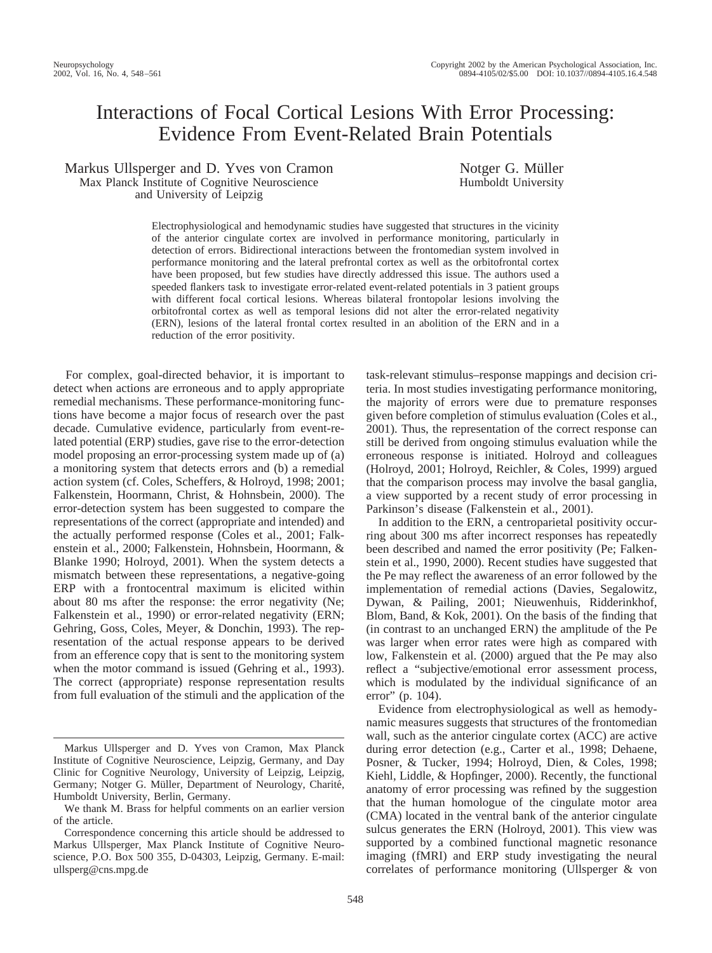# Interactions of Focal Cortical Lesions With Error Processing: Evidence From Event-Related Brain Potentials

Markus Ullsperger and D. Yves von Cramon Max Planck Institute of Cognitive Neuroscience and University of Leipzig

Notger G. Müller Humboldt University

Electrophysiological and hemodynamic studies have suggested that structures in the vicinity of the anterior cingulate cortex are involved in performance monitoring, particularly in detection of errors. Bidirectional interactions between the frontomedian system involved in performance monitoring and the lateral prefrontal cortex as well as the orbitofrontal cortex have been proposed, but few studies have directly addressed this issue. The authors used a speeded flankers task to investigate error-related event-related potentials in 3 patient groups with different focal cortical lesions. Whereas bilateral frontopolar lesions involving the orbitofrontal cortex as well as temporal lesions did not alter the error-related negativity (ERN), lesions of the lateral frontal cortex resulted in an abolition of the ERN and in a reduction of the error positivity.

For complex, goal-directed behavior, it is important to detect when actions are erroneous and to apply appropriate remedial mechanisms. These performance-monitoring functions have become a major focus of research over the past decade. Cumulative evidence, particularly from event-related potential (ERP) studies, gave rise to the error-detection model proposing an error-processing system made up of (a) a monitoring system that detects errors and (b) a remedial action system (cf. Coles, Scheffers, & Holroyd, 1998; 2001; Falkenstein, Hoormann, Christ, & Hohnsbein, 2000). The error-detection system has been suggested to compare the representations of the correct (appropriate and intended) and the actually performed response (Coles et al., 2001; Falkenstein et al., 2000; Falkenstein, Hohnsbein, Hoormann, & Blanke 1990; Holroyd, 2001). When the system detects a mismatch between these representations, a negative-going ERP with a frontocentral maximum is elicited within about 80 ms after the response: the error negativity (Ne; Falkenstein et al., 1990) or error-related negativity (ERN; Gehring, Goss, Coles, Meyer, & Donchin, 1993). The representation of the actual response appears to be derived from an efference copy that is sent to the monitoring system when the motor command is issued (Gehring et al., 1993). The correct (appropriate) response representation results from full evaluation of the stimuli and the application of the

task-relevant stimulus–response mappings and decision criteria. In most studies investigating performance monitoring, the majority of errors were due to premature responses given before completion of stimulus evaluation (Coles et al., 2001). Thus, the representation of the correct response can still be derived from ongoing stimulus evaluation while the erroneous response is initiated. Holroyd and colleagues (Holroyd, 2001; Holroyd, Reichler, & Coles, 1999) argued that the comparison process may involve the basal ganglia, a view supported by a recent study of error processing in Parkinson's disease (Falkenstein et al., 2001).

In addition to the ERN, a centroparietal positivity occurring about 300 ms after incorrect responses has repeatedly been described and named the error positivity (Pe; Falkenstein et al., 1990, 2000). Recent studies have suggested that the Pe may reflect the awareness of an error followed by the implementation of remedial actions (Davies, Segalowitz, Dywan, & Pailing, 2001; Nieuwenhuis, Ridderinkhof, Blom, Band, & Kok, 2001). On the basis of the finding that (in contrast to an unchanged ERN) the amplitude of the Pe was larger when error rates were high as compared with low, Falkenstein et al. (2000) argued that the Pe may also reflect a "subjective/emotional error assessment process, which is modulated by the individual significance of an error" (p. 104).

Evidence from electrophysiological as well as hemodynamic measures suggests that structures of the frontomedian wall, such as the anterior cingulate cortex (ACC) are active during error detection (e.g., Carter et al., 1998; Dehaene, Posner, & Tucker, 1994; Holroyd, Dien, & Coles, 1998; Kiehl, Liddle, & Hopfinger, 2000). Recently, the functional anatomy of error processing was refined by the suggestion that the human homologue of the cingulate motor area (CMA) located in the ventral bank of the anterior cingulate sulcus generates the ERN (Holroyd, 2001). This view was supported by a combined functional magnetic resonance imaging (fMRI) and ERP study investigating the neural correlates of performance monitoring (Ullsperger & von

Markus Ullsperger and D. Yves von Cramon, Max Planck Institute of Cognitive Neuroscience, Leipzig, Germany, and Day Clinic for Cognitive Neurology, University of Leipzig, Leipzig, Germany; Notger G. Müller, Department of Neurology, Charité, Humboldt University, Berlin, Germany.

We thank M. Brass for helpful comments on an earlier version of the article.

Correspondence concerning this article should be addressed to Markus Ullsperger, Max Planck Institute of Cognitive Neuroscience, P.O. Box 500 355, D-04303, Leipzig, Germany. E-mail: ullsperg@cns.mpg.de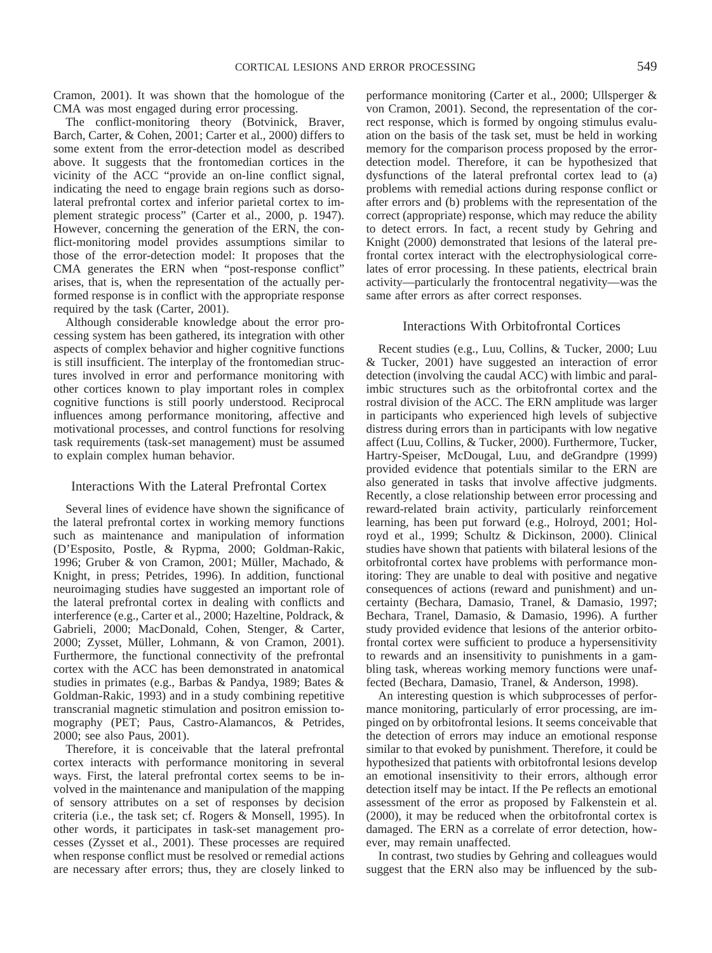Cramon, 2001). It was shown that the homologue of the CMA was most engaged during error processing.

The conflict-monitoring theory (Botvinick, Braver, Barch, Carter, & Cohen, 2001; Carter et al., 2000) differs to some extent from the error-detection model as described above. It suggests that the frontomedian cortices in the vicinity of the ACC "provide an on-line conflict signal, indicating the need to engage brain regions such as dorsolateral prefrontal cortex and inferior parietal cortex to implement strategic process" (Carter et al., 2000, p. 1947). However, concerning the generation of the ERN, the conflict-monitoring model provides assumptions similar to those of the error-detection model: It proposes that the CMA generates the ERN when "post-response conflict" arises, that is, when the representation of the actually performed response is in conflict with the appropriate response required by the task (Carter, 2001).

Although considerable knowledge about the error processing system has been gathered, its integration with other aspects of complex behavior and higher cognitive functions is still insufficient. The interplay of the frontomedian structures involved in error and performance monitoring with other cortices known to play important roles in complex cognitive functions is still poorly understood. Reciprocal influences among performance monitoring, affective and motivational processes, and control functions for resolving task requirements (task-set management) must be assumed to explain complex human behavior.

#### Interactions With the Lateral Prefrontal Cortex

Several lines of evidence have shown the significance of the lateral prefrontal cortex in working memory functions such as maintenance and manipulation of information (D'Esposito, Postle, & Rypma, 2000; Goldman-Rakic, 1996; Gruber & von Cramon, 2001; Müller, Machado, & Knight, in press; Petrides, 1996). In addition, functional neuroimaging studies have suggested an important role of the lateral prefrontal cortex in dealing with conflicts and interference (e.g., Carter et al., 2000; Hazeltine, Poldrack, & Gabrieli, 2000; MacDonald, Cohen, Stenger, & Carter, 2000; Zysset, Müller, Lohmann, & von Cramon, 2001). Furthermore, the functional connectivity of the prefrontal cortex with the ACC has been demonstrated in anatomical studies in primates (e.g., Barbas & Pandya, 1989; Bates & Goldman-Rakic, 1993) and in a study combining repetitive transcranial magnetic stimulation and positron emission tomography (PET; Paus, Castro-Alamancos, & Petrides, 2000; see also Paus, 2001).

Therefore, it is conceivable that the lateral prefrontal cortex interacts with performance monitoring in several ways. First, the lateral prefrontal cortex seems to be involved in the maintenance and manipulation of the mapping of sensory attributes on a set of responses by decision criteria (i.e., the task set; cf. Rogers & Monsell, 1995). In other words, it participates in task-set management processes (Zysset et al., 2001). These processes are required when response conflict must be resolved or remedial actions are necessary after errors; thus, they are closely linked to performance monitoring (Carter et al., 2000; Ullsperger & von Cramon, 2001). Second, the representation of the correct response, which is formed by ongoing stimulus evaluation on the basis of the task set, must be held in working memory for the comparison process proposed by the errordetection model. Therefore, it can be hypothesized that dysfunctions of the lateral prefrontal cortex lead to (a) problems with remedial actions during response conflict or after errors and (b) problems with the representation of the correct (appropriate) response, which may reduce the ability to detect errors. In fact, a recent study by Gehring and Knight (2000) demonstrated that lesions of the lateral prefrontal cortex interact with the electrophysiological correlates of error processing. In these patients, electrical brain activity—particularly the frontocentral negativity—was the same after errors as after correct responses.

## Interactions With Orbitofrontal Cortices

Recent studies (e.g., Luu, Collins, & Tucker, 2000; Luu & Tucker, 2001) have suggested an interaction of error detection (involving the caudal ACC) with limbic and paralimbic structures such as the orbitofrontal cortex and the rostral division of the ACC. The ERN amplitude was larger in participants who experienced high levels of subjective distress during errors than in participants with low negative affect (Luu, Collins, & Tucker, 2000). Furthermore, Tucker, Hartry-Speiser, McDougal, Luu, and deGrandpre (1999) provided evidence that potentials similar to the ERN are also generated in tasks that involve affective judgments. Recently, a close relationship between error processing and reward-related brain activity, particularly reinforcement learning, has been put forward (e.g., Holroyd, 2001; Holroyd et al., 1999; Schultz & Dickinson, 2000). Clinical studies have shown that patients with bilateral lesions of the orbitofrontal cortex have problems with performance monitoring: They are unable to deal with positive and negative consequences of actions (reward and punishment) and uncertainty (Bechara, Damasio, Tranel, & Damasio, 1997; Bechara, Tranel, Damasio, & Damasio, 1996). A further study provided evidence that lesions of the anterior orbitofrontal cortex were sufficient to produce a hypersensitivity to rewards and an insensitivity to punishments in a gambling task, whereas working memory functions were unaffected (Bechara, Damasio, Tranel, & Anderson, 1998).

An interesting question is which subprocesses of performance monitoring, particularly of error processing, are impinged on by orbitofrontal lesions. It seems conceivable that the detection of errors may induce an emotional response similar to that evoked by punishment. Therefore, it could be hypothesized that patients with orbitofrontal lesions develop an emotional insensitivity to their errors, although error detection itself may be intact. If the Pe reflects an emotional assessment of the error as proposed by Falkenstein et al. (2000), it may be reduced when the orbitofrontal cortex is damaged. The ERN as a correlate of error detection, however, may remain unaffected.

In contrast, two studies by Gehring and colleagues would suggest that the ERN also may be influenced by the sub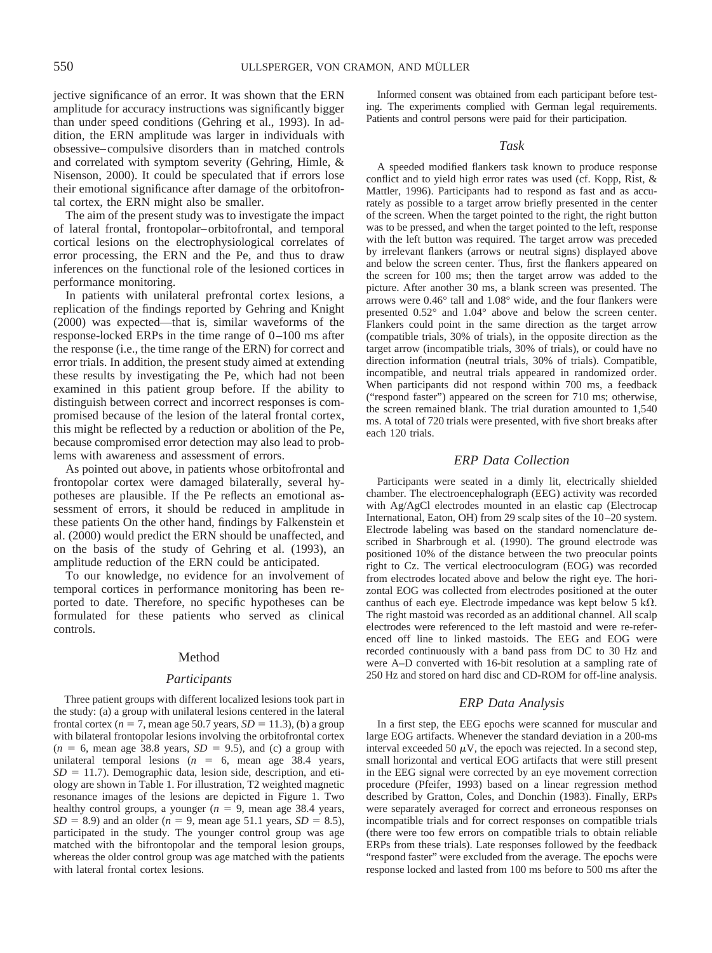jective significance of an error. It was shown that the ERN amplitude for accuracy instructions was significantly bigger than under speed conditions (Gehring et al., 1993). In addition, the ERN amplitude was larger in individuals with obsessive–compulsive disorders than in matched controls and correlated with symptom severity (Gehring, Himle, & Nisenson, 2000). It could be speculated that if errors lose their emotional significance after damage of the orbitofrontal cortex, the ERN might also be smaller.

The aim of the present study was to investigate the impact of lateral frontal, frontopolar–orbitofrontal, and temporal cortical lesions on the electrophysiological correlates of error processing, the ERN and the Pe, and thus to draw inferences on the functional role of the lesioned cortices in performance monitoring.

In patients with unilateral prefrontal cortex lesions, a replication of the findings reported by Gehring and Knight (2000) was expected—that is, similar waveforms of the response-locked ERPs in the time range of 0–100 ms after the response (i.e., the time range of the ERN) for correct and error trials. In addition, the present study aimed at extending these results by investigating the Pe, which had not been examined in this patient group before. If the ability to distinguish between correct and incorrect responses is compromised because of the lesion of the lateral frontal cortex, this might be reflected by a reduction or abolition of the Pe, because compromised error detection may also lead to problems with awareness and assessment of errors.

As pointed out above, in patients whose orbitofrontal and frontopolar cortex were damaged bilaterally, several hypotheses are plausible. If the Pe reflects an emotional assessment of errors, it should be reduced in amplitude in these patients On the other hand, findings by Falkenstein et al. (2000) would predict the ERN should be unaffected, and on the basis of the study of Gehring et al. (1993), an amplitude reduction of the ERN could be anticipated.

To our knowledge, no evidence for an involvement of temporal cortices in performance monitoring has been reported to date. Therefore, no specific hypotheses can be formulated for these patients who served as clinical controls.

#### Method

#### *Participants*

Three patient groups with different localized lesions took part in the study: (a) a group with unilateral lesions centered in the lateral frontal cortex ( $n = 7$ , mean age 50.7 years,  $SD = 11.3$ ), (b) a group with bilateral frontopolar lesions involving the orbitofrontal cortex  $(n = 6, \text{ mean age } 38.8 \text{ years}, SD = 9.5), \text{ and (c) a group with}$ unilateral temporal lesions  $(n = 6, \text{ mean age } 38.4 \text{ years},$  $SD = 11.7$ ). Demographic data, lesion side, description, and etiology are shown in Table 1. For illustration, T2 weighted magnetic resonance images of the lesions are depicted in Figure 1. Two healthy control groups, a younger  $(n = 9)$ , mean age 38.4 years,  $SD = 8.9$ ) and an older (*n* = 9, mean age 51.1 years,  $SD = 8.5$ ), participated in the study. The younger control group was age matched with the bifrontopolar and the temporal lesion groups, whereas the older control group was age matched with the patients with lateral frontal cortex lesions.

Informed consent was obtained from each participant before testing. The experiments complied with German legal requirements. Patients and control persons were paid for their participation.

# *Task*

A speeded modified flankers task known to produce response conflict and to yield high error rates was used (cf. Kopp, Rist, & Mattler, 1996). Participants had to respond as fast and as accurately as possible to a target arrow briefly presented in the center of the screen. When the target pointed to the right, the right button was to be pressed, and when the target pointed to the left, response with the left button was required. The target arrow was preceded by irrelevant flankers (arrows or neutral signs) displayed above and below the screen center. Thus, first the flankers appeared on the screen for 100 ms; then the target arrow was added to the picture. After another 30 ms, a blank screen was presented. The arrows were 0.46° tall and 1.08° wide, and the four flankers were presented 0.52° and 1.04° above and below the screen center. Flankers could point in the same direction as the target arrow (compatible trials, 30% of trials), in the opposite direction as the target arrow (incompatible trials, 30% of trials), or could have no direction information (neutral trials, 30% of trials). Compatible, incompatible, and neutral trials appeared in randomized order. When participants did not respond within 700 ms, a feedback ("respond faster") appeared on the screen for 710 ms; otherwise, the screen remained blank. The trial duration amounted to 1,540 ms. A total of 720 trials were presented, with five short breaks after each 120 trials.

## *ERP Data Collection*

Participants were seated in a dimly lit, electrically shielded chamber. The electroencephalograph (EEG) activity was recorded with Ag/AgCl electrodes mounted in an elastic cap (Electrocap International, Eaton, OH) from 29 scalp sites of the 10–20 system. Electrode labeling was based on the standard nomenclature described in Sharbrough et al. (1990). The ground electrode was positioned 10% of the distance between the two preocular points right to Cz. The vertical electrooculogram (EOG) was recorded from electrodes located above and below the right eye. The horizontal EOG was collected from electrodes positioned at the outer canthus of each eye. Electrode impedance was kept below 5  $k\Omega$ . The right mastoid was recorded as an additional channel. All scalp electrodes were referenced to the left mastoid and were re-referenced off line to linked mastoids. The EEG and EOG were recorded continuously with a band pass from DC to 30 Hz and were A–D converted with 16-bit resolution at a sampling rate of 250 Hz and stored on hard disc and CD-ROM for off-line analysis.

#### *ERP Data Analysis*

In a first step, the EEG epochs were scanned for muscular and large EOG artifacts. Whenever the standard deviation in a 200-ms interval exceeded 50  $\mu$ V, the epoch was rejected. In a second step, small horizontal and vertical EOG artifacts that were still present in the EEG signal were corrected by an eye movement correction procedure (Pfeifer, 1993) based on a linear regression method described by Gratton, Coles, and Donchin (1983). Finally, ERPs were separately averaged for correct and erroneous responses on incompatible trials and for correct responses on compatible trials (there were too few errors on compatible trials to obtain reliable ERPs from these trials). Late responses followed by the feedback "respond faster" were excluded from the average. The epochs were response locked and lasted from 100 ms before to 500 ms after the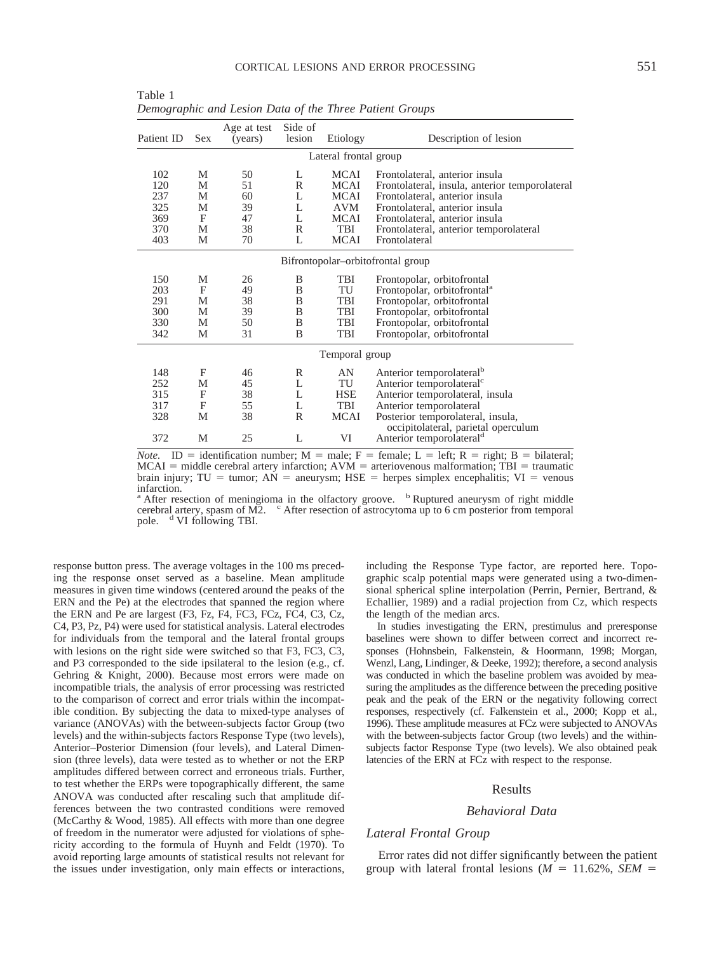| Patient ID                        | <b>Sex</b> | Age at test<br>(years) | Side of<br>lesion | Etiology    | Description of lesion                                                    |  |  |  |  |
|-----------------------------------|------------|------------------------|-------------------|-------------|--------------------------------------------------------------------------|--|--|--|--|
| Lateral frontal group             |            |                        |                   |             |                                                                          |  |  |  |  |
| 102                               | M          | 50                     | L                 | <b>MCAI</b> | Frontolateral, anterior insula                                           |  |  |  |  |
| 120                               | M          | 51                     | R                 | <b>MCAI</b> | Frontolateral, insula, anterior temporolateral                           |  |  |  |  |
| 237                               | M          | 60                     | L                 | MCAI        | Frontolateral, anterior insula                                           |  |  |  |  |
| 325                               | М          | 39                     | L                 | AVM         | Frontolateral, anterior insula                                           |  |  |  |  |
| 369                               | F          | 47                     | L                 | <b>MCAI</b> | Frontolateral, anterior insula                                           |  |  |  |  |
| 370                               | М          | 38                     | R                 | TBI         | Frontolateral, anterior temporolateral                                   |  |  |  |  |
| 403                               | М          | 70                     | L                 | <b>MCAI</b> | Frontolateral                                                            |  |  |  |  |
| Bifrontopolar-orbitofrontal group |            |                        |                   |             |                                                                          |  |  |  |  |
| 150                               | М          | 26                     | B                 | TBI         | Frontopolar, orbitofrontal                                               |  |  |  |  |
| 203                               | F          | 49                     | B                 | TU          | Frontopolar, orbitofrontal <sup>a</sup>                                  |  |  |  |  |
| 291                               | M          | 38                     | B                 | TBI         | Frontopolar, orbitofrontal                                               |  |  |  |  |
| 300                               | М          | 39                     | B                 | TBI         | Frontopolar, orbitofrontal                                               |  |  |  |  |
| 330                               | M          | 50                     | B                 | TBI         | Frontopolar, orbitofrontal                                               |  |  |  |  |
| 342                               | М          | 31                     | B                 | TBI         | Frontopolar, orbitofrontal                                               |  |  |  |  |
| Temporal group                    |            |                        |                   |             |                                                                          |  |  |  |  |
| 148                               | F          | 46                     | R                 | AN          | Anterior temporolateral <sup>b</sup>                                     |  |  |  |  |
| 252                               | М          | 45                     | L                 | TU          | Anterior temporolateral <sup>c</sup>                                     |  |  |  |  |
| 315                               | F          | 38                     | L                 | <b>HSE</b>  | Anterior temporolateral, insula                                          |  |  |  |  |
| 317                               | F          | 55                     | L                 | TBI         | Anterior temporolateral                                                  |  |  |  |  |
| 328                               | М          | 38                     | R                 | <b>MCAI</b> | Posterior temporolateral, insula,<br>occipitolateral, parietal operculum |  |  |  |  |
| 372                               | М          | 25                     | L                 | VI          | Anterior temporolateral <sup>d</sup>                                     |  |  |  |  |

Table 1 *Demographic and Lesion Data of the Three Patient Groups*

*Note.* ID = identification number; M = male; F = female; L = left; R = right; B = bilateral;  $MCAI$  = middle cerebral artery infarction;  $AVM$  = arteriovenous malformation; TBI = traumatic brain injury; TU = tumor;  $\angle A\hat{N}$  = aneurysm; HSE = herpes simplex encephalitis; VI = venous infarction.

<sup>a</sup> After resection of meningioma in the olfactory groove. <sup>b</sup> Ruptured aneurysm of right middle cerebral artery, spasm of M2.  $\degree$  After resection of astrocytoma up to 6 cm posterior from temporal pole. <sup>d</sup> VI following TBI.

response button press. The average voltages in the 100 ms preceding the response onset served as a baseline. Mean amplitude measures in given time windows (centered around the peaks of the ERN and the Pe) at the electrodes that spanned the region where the ERN and Pe are largest (F3, Fz, F4, FC3, FCz, FC4, C3, Cz, C4, P3, Pz, P4) were used for statistical analysis. Lateral electrodes for individuals from the temporal and the lateral frontal groups with lesions on the right side were switched so that F3, FC3, C3, and P3 corresponded to the side ipsilateral to the lesion (e.g., cf. Gehring & Knight, 2000). Because most errors were made on incompatible trials, the analysis of error processing was restricted to the comparison of correct and error trials within the incompatible condition. By subjecting the data to mixed-type analyses of variance (ANOVAs) with the between-subjects factor Group (two levels) and the within-subjects factors Response Type (two levels), Anterior–Posterior Dimension (four levels), and Lateral Dimension (three levels), data were tested as to whether or not the ERP amplitudes differed between correct and erroneous trials. Further, to test whether the ERPs were topographically different, the same ANOVA was conducted after rescaling such that amplitude differences between the two contrasted conditions were removed (McCarthy & Wood, 1985). All effects with more than one degree of freedom in the numerator were adjusted for violations of sphericity according to the formula of Huynh and Feldt (1970). To avoid reporting large amounts of statistical results not relevant for the issues under investigation, only main effects or interactions, including the Response Type factor, are reported here. Topographic scalp potential maps were generated using a two-dimensional spherical spline interpolation (Perrin, Pernier, Bertrand, & Echallier, 1989) and a radial projection from Cz, which respects the length of the median arcs.

In studies investigating the ERN, prestimulus and preresponse baselines were shown to differ between correct and incorrect responses (Hohnsbein, Falkenstein, & Hoormann, 1998; Morgan, Wenzl, Lang, Lindinger, & Deeke, 1992); therefore, a second analysis was conducted in which the baseline problem was avoided by measuring the amplitudes as the difference between the preceding positive peak and the peak of the ERN or the negativity following correct responses, respectively (cf. Falkenstein et al., 2000; Kopp et al., 1996). These amplitude measures at FCz were subjected to ANOVAs with the between-subjects factor Group (two levels) and the withinsubjects factor Response Type (two levels). We also obtained peak latencies of the ERN at FCz with respect to the response.

## Results

## *Behavioral Data*

# *Lateral Frontal Group*

Error rates did not differ significantly between the patient group with lateral frontal lesions ( $M = 11.62\%$ , *SEM* =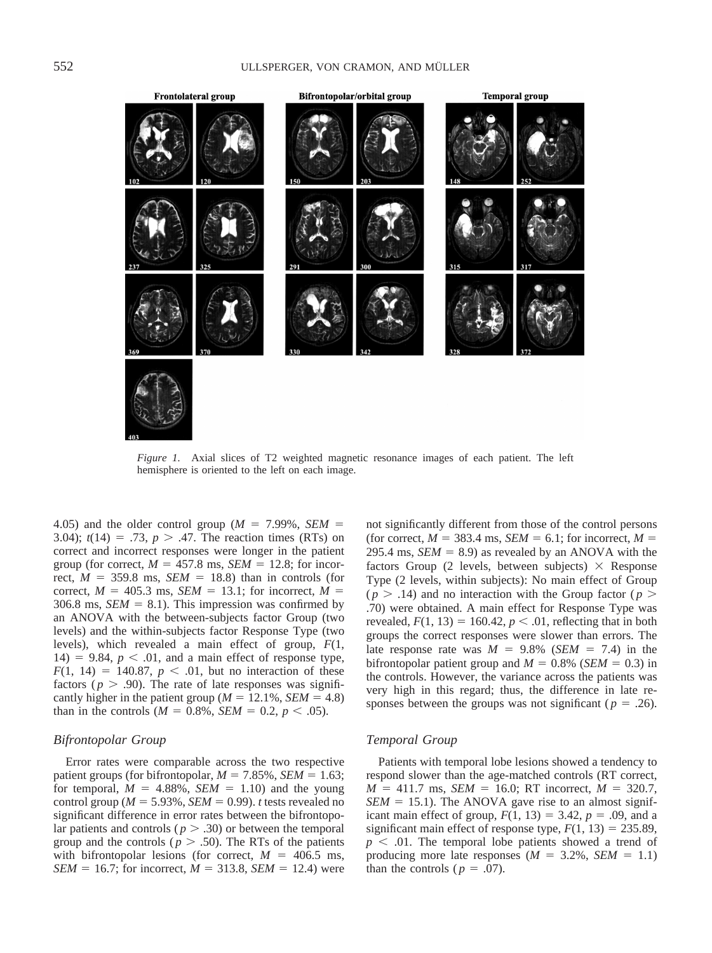

*Figure 1.* Axial slices of T2 weighted magnetic resonance images of each patient. The left hemisphere is oriented to the left on each image.

4.05) and the older control group ( $M = 7.99\%$ , *SEM* = 3.04);  $t(14) = .73$ ,  $p > .47$ . The reaction times (RTs) on correct and incorrect responses were longer in the patient group (for correct,  $M = 457.8$  ms,  $SEM = 12.8$ ; for incorrect,  $M = 359.8$  ms,  $SEM = 18.8$ ) than in controls (for correct,  $M = 405.3$  ms,  $SEM = 13.1$ ; for incorrect,  $M =$ 306.8 ms,  $SEM = 8.1$ ). This impression was confirmed by an ANOVA with the between-subjects factor Group (two levels) and the within-subjects factor Response Type (two levels), which revealed a main effect of group, *F*(1,  $14) = 9.84$ ,  $p < .01$ , and a main effect of response type,  $F(1, 14) = 140.87$ ,  $p < .01$ , but no interaction of these factors ( $p > .90$ ). The rate of late responses was significantly higher in the patient group ( $M = 12.1\%$ , *SEM* = 4.8) than in the controls ( $M = 0.8\%$ , *SEM* = 0.2,  $p < .05$ ).

# *Bifrontopolar Group*

Error rates were comparable across the two respective patient groups (for bifrontopolar,  $M = 7.85\%$ , *SEM* = 1.63; for temporal,  $M = 4.88\%$ ,  $SEM = 1.10$ ) and the young control group ( $M = 5.93\%$ , *SEM* = 0.99). *t* tests revealed no significant difference in error rates between the bifrontopolar patients and controls ( $p > .30$ ) or between the temporal group and the controls ( $p > .50$ ). The RTs of the patients with bifrontopolar lesions (for correct,  $M = 406.5$  ms, *SEM* = 16.7; for incorrect,  $M = 313.8$ , *SEM* = 12.4) were not significantly different from those of the control persons (for correct,  $M = 383.4$  ms,  $SEM = 6.1$ ; for incorrect,  $M =$ 295.4 ms,  $SEM = 8.9$ ) as revealed by an ANOVA with the factors Group (2 levels, between subjects)  $\times$  Response Type (2 levels, within subjects): No main effect of Group  $(p > .14)$  and no interaction with the Group factor  $(p > .14)$ .70) were obtained. A main effect for Response Type was revealed,  $F(1, 13) = 160.42$ ,  $p < .01$ , reflecting that in both groups the correct responses were slower than errors. The late response rate was  $M = 9.8\%$  (*SEM* = 7.4) in the bifrontopolar patient group and  $M = 0.8\%$  (*SEM* = 0.3) in the controls. However, the variance across the patients was very high in this regard; thus, the difference in late responses between the groups was not significant ( $p = .26$ ).

## *Temporal Group*

Patients with temporal lobe lesions showed a tendency to respond slower than the age-matched controls (RT correct,  $M = 411.7$  ms, *SEM* = 16.0; RT incorrect,  $M = 320.7$ ,  $SEM = 15.1$ ). The ANOVA gave rise to an almost significant main effect of group,  $F(1, 13) = 3.42$ ,  $p = .09$ , and a significant main effect of response type,  $F(1, 13) = 235.89$ ,  $p \leq 0.01$ . The temporal lobe patients showed a trend of producing more late responses  $(M = 3.2\%, SEM = 1.1)$ than the controls ( $p = .07$ ).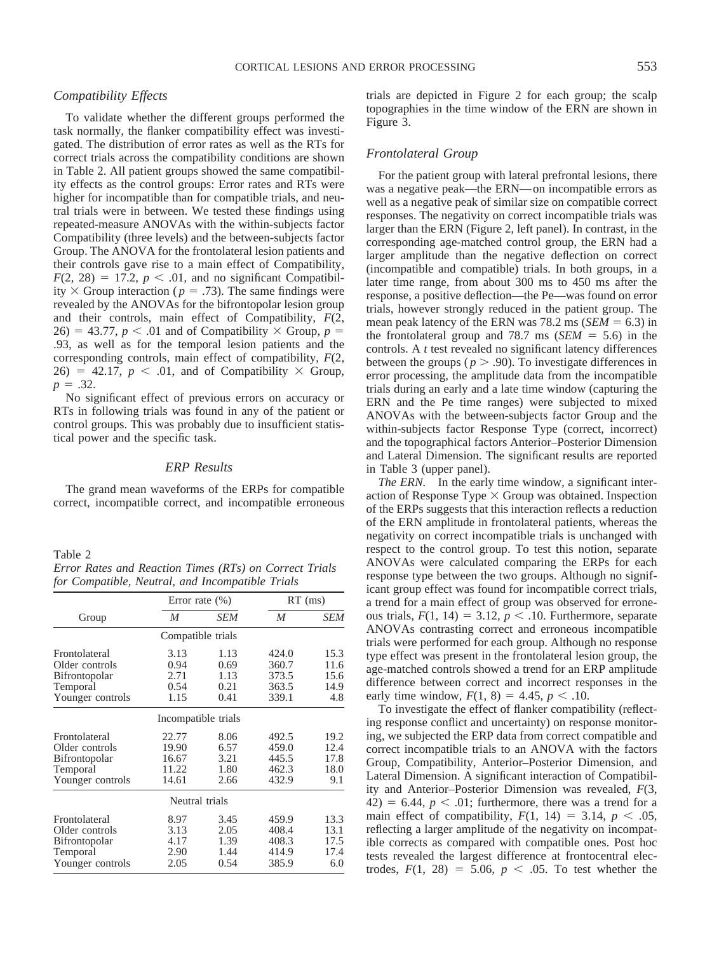# *Compatibility Effects*

To validate whether the different groups performed the task normally, the flanker compatibility effect was investigated. The distribution of error rates as well as the RTs for correct trials across the compatibility conditions are shown in Table 2. All patient groups showed the same compatibility effects as the control groups: Error rates and RTs were higher for incompatible than for compatible trials, and neutral trials were in between. We tested these findings using repeated-measure ANOVAs with the within-subjects factor Compatibility (three levels) and the between-subjects factor Group. The ANOVA for the frontolateral lesion patients and their controls gave rise to a main effect of Compatibility,  $F(2, 28) = 17.2$ ,  $p < .01$ , and no significant Compatibility  $\times$  Group interaction ( $p = .73$ ). The same findings were revealed by the ANOVAs for the bifrontopolar lesion group and their controls, main effect of Compatibility, *F*(2, 26) = 43.77,  $p < .01$  and of Compatibility  $\times$  Group,  $p =$ .93, as well as for the temporal lesion patients and the corresponding controls, main effect of compatibility, *F*(2,  $26) = 42.17$ ,  $p < .01$ , and of Compatibility  $\times$  Group,  $p = .32$ .

No significant effect of previous errors on accuracy or RTs in following trials was found in any of the patient or control groups. This was probably due to insufficient statistical power and the specific task.

# *ERP Results*

The grand mean waveforms of the ERPs for compatible correct, incompatible correct, and incompatible erroneous

Table 2 *Error Rates and Reaction Times (RTs) on Correct Trials for Compatible, Neutral, and Incompatible Trials*

|                      | Error rate $(\% )$  |            | $RT$ (ms) |            |
|----------------------|---------------------|------------|-----------|------------|
| Group                | M                   | <b>SEM</b> | M         | <b>SEM</b> |
|                      | Compatible trials   |            |           |            |
| Frontolateral        | 3.13                | 1.13       | 424.0     | 15.3       |
| Older controls       | 0.94                | 0.69       | 360.7     | 11.6       |
| Bifrontopolar        | 2.71                | 1.13       | 373.5     | 15.6       |
| Temporal             | 0.54                | 0.21       | 363.5     | 14.9       |
| Younger controls     | 1.15                | 0.41       | 339.1     | 4.8        |
|                      | Incompatible trials |            |           |            |
| Frontolateral        | 22.77               | 8.06       | 492.5     | 19.2       |
| Older controls       | 19.90               | 6.57       | 459.0     | 12.4       |
| <b>Bifrontopolar</b> | 16.67               | 3.21       | 445.5     | 17.8       |
| Temporal             | 11.22               | 1.80       | 462.3     | 18.0       |
| Younger controls     | 14.61               | 2.66       | 432.9     | 9.1        |
|                      | Neutral trials      |            |           |            |
| Frontolateral        | 8.97                | 3.45       | 459.9     | 13.3       |
| Older controls       | 3.13                | 2.05       | 408.4     | 13.1       |
| Bifrontopolar        | 4.17                | 1.39       | 408.3     | 17.5       |
| Temporal             | 2.90                | 1.44       | 414.9     | 17.4       |
| Younger controls     | 2.05                | 0.54       | 385.9     | 6.0        |
|                      |                     |            |           |            |

trials are depicted in Figure 2 for each group; the scalp topographies in the time window of the ERN are shown in Figure 3.

## *Frontolateral Group*

For the patient group with lateral prefrontal lesions, there was a negative peak—the ERN—on incompatible errors as well as a negative peak of similar size on compatible correct responses. The negativity on correct incompatible trials was larger than the ERN (Figure 2, left panel). In contrast, in the corresponding age-matched control group, the ERN had a larger amplitude than the negative deflection on correct (incompatible and compatible) trials. In both groups, in a later time range, from about 300 ms to 450 ms after the response, a positive deflection—the Pe—was found on error trials, however strongly reduced in the patient group. The mean peak latency of the ERN was  $78.2 \text{ ms } (SEM = 6.3)$  in the frontolateral group and 78.7 ms  $(SEM = 5.6)$  in the controls. A *t* test revealed no significant latency differences between the groups ( $p > .90$ ). To investigate differences in error processing, the amplitude data from the incompatible trials during an early and a late time window (capturing the ERN and the Pe time ranges) were subjected to mixed ANOVAs with the between-subjects factor Group and the within-subjects factor Response Type (correct, incorrect) and the topographical factors Anterior–Posterior Dimension and Lateral Dimension. The significant results are reported in Table 3 (upper panel).

*The ERN.* In the early time window, a significant interaction of Response Type  $\times$  Group was obtained. Inspection of the ERPs suggests that this interaction reflects a reduction of the ERN amplitude in frontolateral patients, whereas the negativity on correct incompatible trials is unchanged with respect to the control group. To test this notion, separate ANOVAs were calculated comparing the ERPs for each response type between the two groups. Although no significant group effect was found for incompatible correct trials, a trend for a main effect of group was observed for erroneous trials,  $F(1, 14) = 3.12$ ,  $p < .10$ . Furthermore, separate ANOVAs contrasting correct and erroneous incompatible trials were performed for each group. Although no response type effect was present in the frontolateral lesion group, the age-matched controls showed a trend for an ERP amplitude difference between correct and incorrect responses in the early time window,  $F(1, 8) = 4.45$ ,  $p < .10$ .

To investigate the effect of flanker compatibility (reflecting response conflict and uncertainty) on response monitoring, we subjected the ERP data from correct compatible and correct incompatible trials to an ANOVA with the factors Group, Compatibility, Anterior–Posterior Dimension, and Lateral Dimension. A significant interaction of Compatibility and Anterior–Posterior Dimension was revealed, *F*(3,  $42) = 6.44$ ,  $p < .01$ ; furthermore, there was a trend for a main effect of compatibility,  $F(1, 14) = 3.14$ ,  $p < .05$ , reflecting a larger amplitude of the negativity on incompatible corrects as compared with compatible ones. Post hoc tests revealed the largest difference at frontocentral electrodes,  $F(1, 28) = 5.06$ ,  $p < .05$ . To test whether the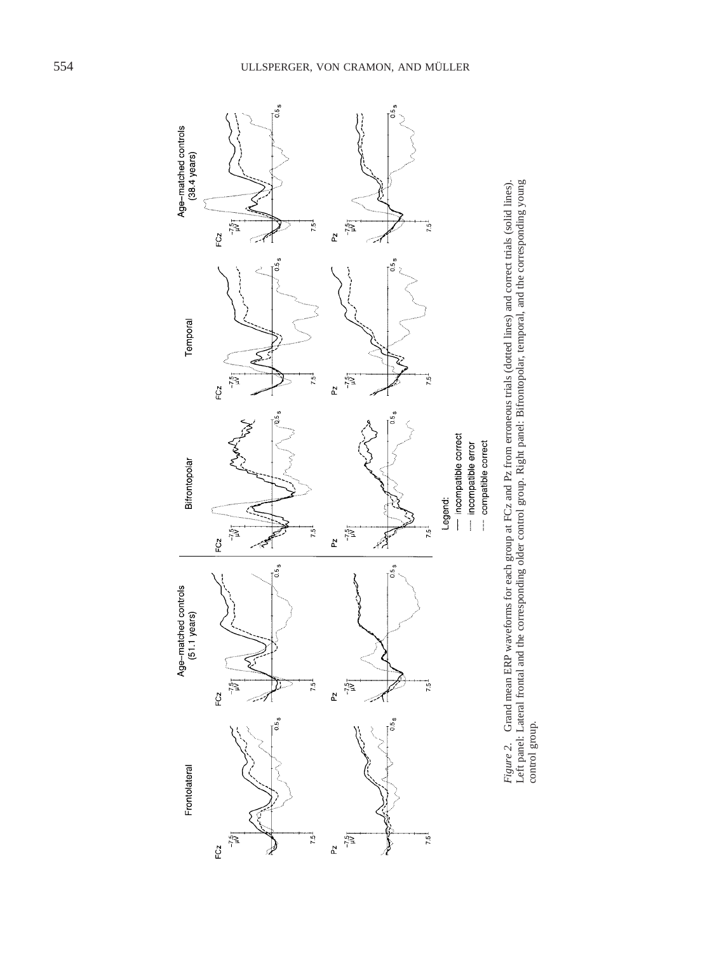

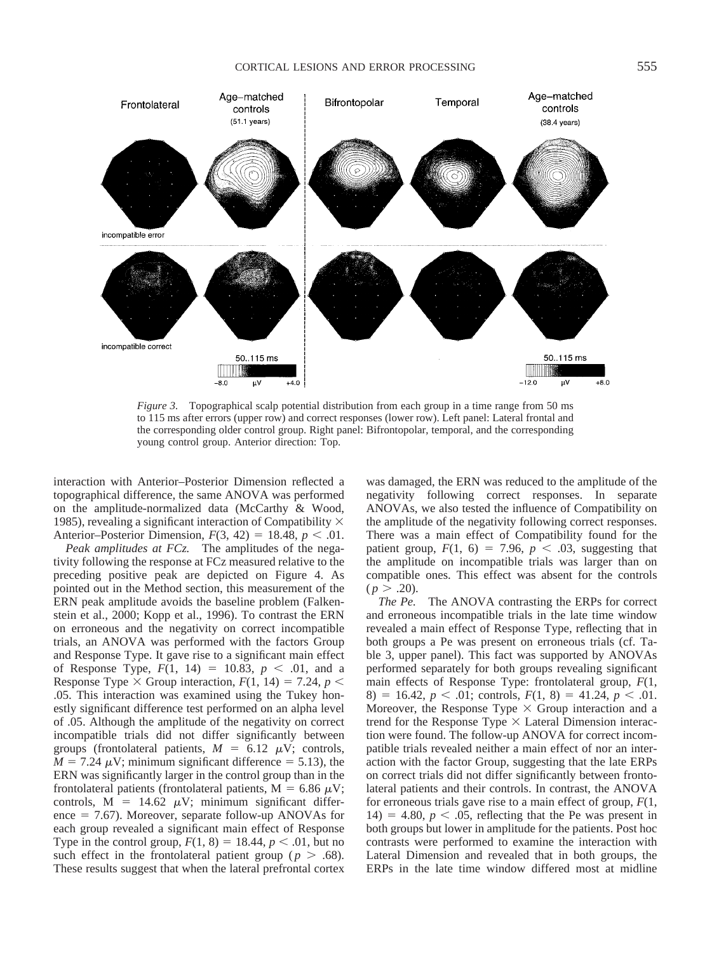

*Figure 3.* Topographical scalp potential distribution from each group in a time range from 50 ms to 115 ms after errors (upper row) and correct responses (lower row). Left panel: Lateral frontal and the corresponding older control group. Right panel: Bifrontopolar, temporal, and the corresponding young control group. Anterior direction: Top.

interaction with Anterior–Posterior Dimension reflected a topographical difference, the same ANOVA was performed on the amplitude-normalized data (McCarthy & Wood, 1985), revealing a significant interaction of Compatibility  $\times$ Anterior–Posterior Dimension,  $F(3, 42) = 18.48$ ,  $p < .01$ .

*Peak amplitudes at FCz.* The amplitudes of the negativity following the response at FCz measured relative to the preceding positive peak are depicted on Figure 4. As pointed out in the Method section, this measurement of the ERN peak amplitude avoids the baseline problem (Falkenstein et al., 2000; Kopp et al., 1996). To contrast the ERN on erroneous and the negativity on correct incompatible trials, an ANOVA was performed with the factors Group and Response Type. It gave rise to a significant main effect of Response Type,  $F(1, 14) = 10.83$ ,  $p < .01$ , and a Response Type  $\times$  Group interaction,  $F(1, 14) = 7.24$ ,  $p \le$ .05. This interaction was examined using the Tukey honestly significant difference test performed on an alpha level of .05. Although the amplitude of the negativity on correct incompatible trials did not differ significantly between groups (frontolateral patients,  $M = 6.12 \mu V$ ; controls,  $M = 7.24 \mu V$ ; minimum significant difference  $= 5.13$ ), the ERN was significantly larger in the control group than in the frontolateral patients (frontolateral patients,  $M = 6.86 \mu V$ ; controls,  $M = 14.62 \mu V$ ; minimum significant difference  $= 7.67$ ). Moreover, separate follow-up ANOVAs for each group revealed a significant main effect of Response Type in the control group,  $F(1, 8) = 18.44$ ,  $p < .01$ , but no such effect in the frontolateral patient group ( $p > .68$ ). These results suggest that when the lateral prefrontal cortex was damaged, the ERN was reduced to the amplitude of the negativity following correct responses. In separate ANOVAs, we also tested the influence of Compatibility on the amplitude of the negativity following correct responses. There was a main effect of Compatibility found for the patient group,  $F(1, 6) = 7.96$ ,  $p < .03$ , suggesting that the amplitude on incompatible trials was larger than on compatible ones. This effect was absent for the controls  $(p > .20)$ .

*The Pe.* The ANOVA contrasting the ERPs for correct and erroneous incompatible trials in the late time window revealed a main effect of Response Type, reflecting that in both groups a Pe was present on erroneous trials (cf. Table 3, upper panel). This fact was supported by ANOVAs performed separately for both groups revealing significant main effects of Response Type: frontolateral group, *F*(1, 8) = 16.42,  $p < .01$ ; controls,  $F(1, 8) = 41.24$ ,  $p < .01$ . Moreover, the Response Type  $\times$  Group interaction and a trend for the Response Type  $\times$  Lateral Dimension interaction were found. The follow-up ANOVA for correct incompatible trials revealed neither a main effect of nor an interaction with the factor Group, suggesting that the late ERPs on correct trials did not differ significantly between frontolateral patients and their controls. In contrast, the ANOVA for erroneous trials gave rise to a main effect of group, *F*(1,  $14) = 4.80, p < .05$ , reflecting that the Pe was present in both groups but lower in amplitude for the patients. Post hoc contrasts were performed to examine the interaction with Lateral Dimension and revealed that in both groups, the ERPs in the late time window differed most at midline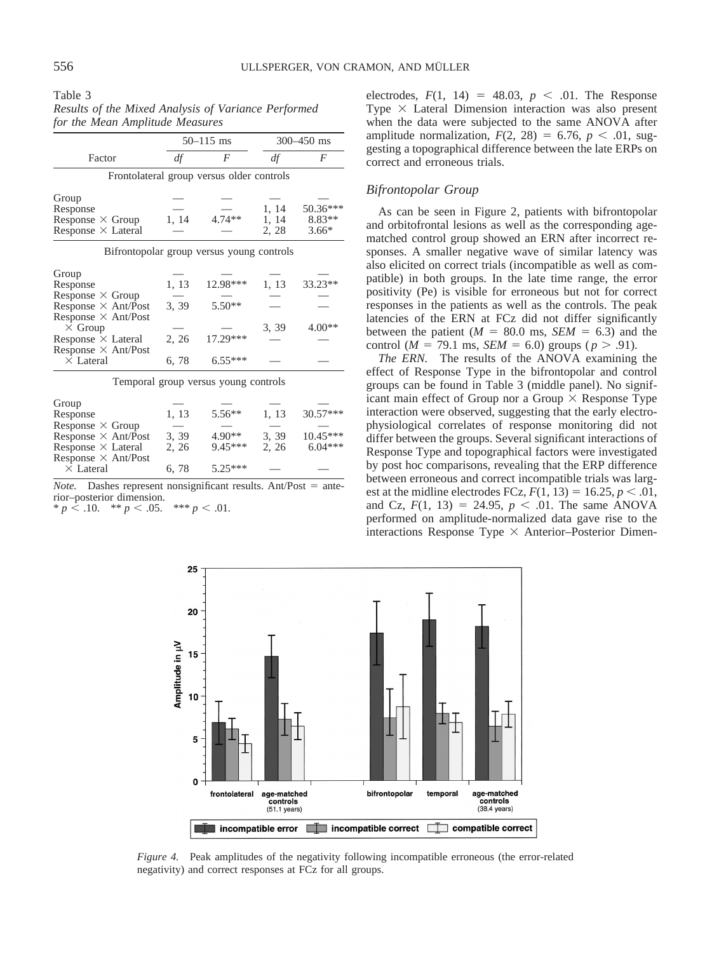Table 3 *Results of the Mixed Analysis of Variance Performed for the Mean Amplitude Measures*

|                            |       | $50 - 115$ ms                             | 300-450 ms |            |
|----------------------------|-------|-------------------------------------------|------------|------------|
| Factor                     | df    | F                                         | df         | F          |
|                            |       | Frontolateral group versus older controls |            |            |
| Group                      |       |                                           |            |            |
| Response                   |       |                                           | 1, 14      | 50.36***   |
| Response $\times$ Group    | 1, 14 | 4.74**                                    | 1, 14      | 8.83**     |
| Response $\times$ Lateral  |       |                                           | 2, 28      | $3.66*$    |
|                            |       | Bifrontopolar group versus young controls |            |            |
| Group                      |       |                                           |            |            |
| Response                   | 1, 13 | 12.98***                                  | 1, 13      | 33.23**    |
| Response $\times$ Group    |       |                                           |            |            |
| Response $\times$ Ant/Post | 3, 39 | 5.50**                                    |            |            |
| Response $\times$ Ant/Post |       |                                           |            |            |
| $\times$ Group             |       |                                           | 3, 39      | $4.00**$   |
| Response × Lateral         | 2, 26 | 17.29***                                  |            |            |
| Response × Ant/Post        |       |                                           |            |            |
| $\times$ Lateral           | 6, 78 | $6.55***$                                 |            |            |
|                            |       | Temporal group versus young controls      |            |            |
| Group                      |       |                                           |            |            |
| Response                   | 1, 13 | $5.56**$                                  | 1, 13      | 30.57***   |
| Response $\times$ Group    |       |                                           |            |            |
| Response $\times$ Ant/Post | 3, 39 | $4.90**$                                  | 3, 39      | $10.45***$ |
| Response $\times$ Lateral  | 2, 26 | $9.45***$                                 | 2, 26      | $6.04***$  |
| Response $\times$ Ant/Post |       |                                           |            |            |
| $\times$ Lateral           | 6,78  | $5.25***$                                 |            |            |

*Note.* Dashes represent nonsignificant results. Ant/Post  $=$  anterior–posterior dimension.

 $* p \leq .10.$  \*\*  $p < .05.$  \*\*\*  $p < .01.$ 

electrodes,  $F(1, 14) = 48.03$ ,  $p < .01$ . The Response Type  $\times$  Lateral Dimension interaction was also present when the data were subjected to the same ANOVA after amplitude normalization,  $F(2, 28) = 6.76$ ,  $p < .01$ , suggesting a topographical difference between the late ERPs on correct and erroneous trials.

## *Bifrontopolar Group*

As can be seen in Figure 2, patients with bifrontopolar and orbitofrontal lesions as well as the corresponding agematched control group showed an ERN after incorrect responses. A smaller negative wave of similar latency was also elicited on correct trials (incompatible as well as compatible) in both groups. In the late time range, the error positivity (Pe) is visible for erroneous but not for correct responses in the patients as well as the controls. The peak latencies of the ERN at FCz did not differ significantly between the patient  $(M = 80.0 \text{ ms}, \text{SEM} = 6.3)$  and the control ( $M = 79.1$  ms,  $SEM = 6.0$ ) groups ( $p > .91$ ).

*The ERN.* The results of the ANOVA examining the effect of Response Type in the bifrontopolar and control groups can be found in Table 3 (middle panel). No significant main effect of Group nor a Group  $\times$  Response Type interaction were observed, suggesting that the early electrophysiological correlates of response monitoring did not differ between the groups. Several significant interactions of Response Type and topographical factors were investigated by post hoc comparisons, revealing that the ERP difference between erroneous and correct incompatible trials was largest at the midline electrodes FCz,  $F(1, 13) = 16.25, p < .01$ , and Cz,  $F(1, 13) = 24.95$ ,  $p < .01$ . The same ANOVA performed on amplitude-normalized data gave rise to the interactions Response Type  $\times$  Anterior–Posterior Dimen-



*Figure 4.* Peak amplitudes of the negativity following incompatible erroneous (the error-related negativity) and correct responses at FCz for all groups.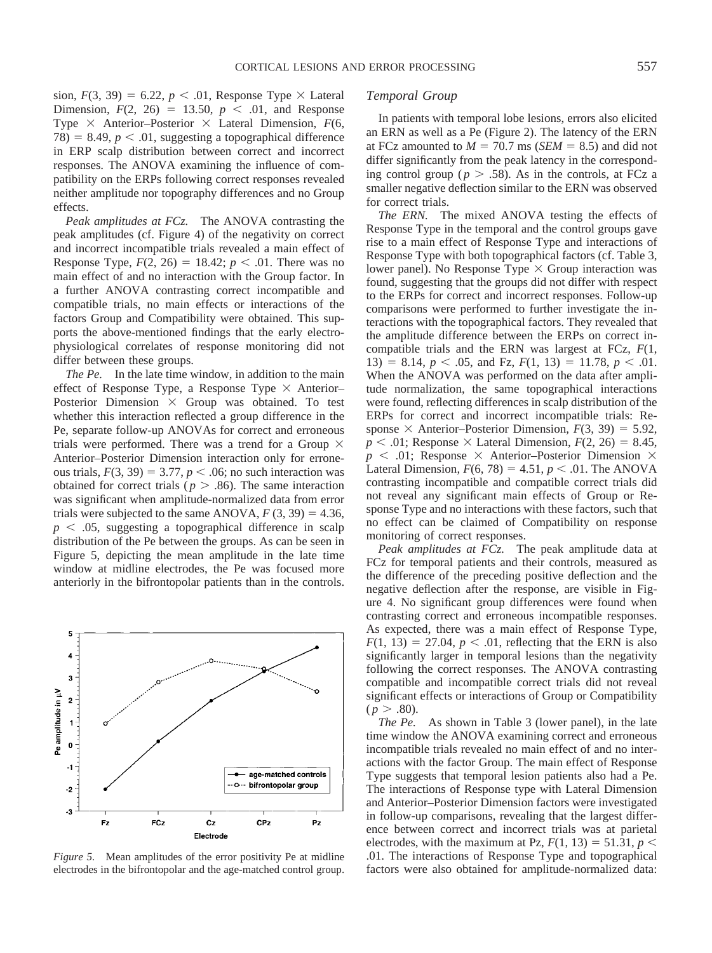sion,  $F(3, 39) = 6.22$ ,  $p < .01$ , Response Type  $\times$  Lateral Dimension,  $F(2, 26) = 13.50, p < .01$ , and Response Type  $\times$  Anterior–Posterior  $\times$  Lateral Dimension,  $F(6, \cdot)$ 78) = 8.49,  $p < .01$ , suggesting a topographical difference in ERP scalp distribution between correct and incorrect responses. The ANOVA examining the influence of compatibility on the ERPs following correct responses revealed neither amplitude nor topography differences and no Group effects.

*Peak amplitudes at FCz.* The ANOVA contrasting the peak amplitudes (cf. Figure 4) of the negativity on correct and incorrect incompatible trials revealed a main effect of Response Type,  $F(2, 26) = 18.42$ ;  $p < .01$ . There was no main effect of and no interaction with the Group factor. In a further ANOVA contrasting correct incompatible and compatible trials, no main effects or interactions of the factors Group and Compatibility were obtained. This supports the above-mentioned findings that the early electrophysiological correlates of response monitoring did not differ between these groups.

*The Pe.* In the late time window, in addition to the main effect of Response Type, a Response Type  $\times$  Anterior– Posterior Dimension  $\times$  Group was obtained. To test whether this interaction reflected a group difference in the Pe, separate follow-up ANOVAs for correct and erroneous trials were performed. There was a trend for a Group  $\times$ Anterior–Posterior Dimension interaction only for erroneous trials,  $F(3, 39) = 3.77$ ,  $p < .06$ ; no such interaction was obtained for correct trials ( $p > .86$ ). The same interaction was significant when amplitude-normalized data from error trials were subjected to the same ANOVA,  $F(3, 39) = 4.36$ ,  $p < .05$ , suggesting a topographical difference in scalp distribution of the Pe between the groups. As can be seen in Figure 5, depicting the mean amplitude in the late time window at midline electrodes, the Pe was focused more anteriorly in the bifrontopolar patients than in the controls.



*Figure 5.* Mean amplitudes of the error positivity Pe at midline electrodes in the bifrontopolar and the age-matched control group.

# *Temporal Group*

In patients with temporal lobe lesions, errors also elicited an ERN as well as a Pe (Figure 2). The latency of the ERN at FCz amounted to  $M = 70.7$  ms (*SEM* = 8.5) and did not differ significantly from the peak latency in the corresponding control group ( $p > .58$ ). As in the controls, at FCz a smaller negative deflection similar to the ERN was observed for correct trials.

*The ERN.* The mixed ANOVA testing the effects of Response Type in the temporal and the control groups gave rise to a main effect of Response Type and interactions of Response Type with both topographical factors (cf. Table 3, lower panel). No Response Type  $\times$  Group interaction was found, suggesting that the groups did not differ with respect to the ERPs for correct and incorrect responses. Follow-up comparisons were performed to further investigate the interactions with the topographical factors. They revealed that the amplitude difference between the ERPs on correct incompatible trials and the ERN was largest at FCz, *F*(1, 13) = 8.14,  $p < .05$ , and Fz,  $F(1, 13) = 11.78$ ,  $p < .01$ . When the ANOVA was performed on the data after amplitude normalization, the same topographical interactions were found, reflecting differences in scalp distribution of the ERPs for correct and incorrect incompatible trials: Response  $\times$  Anterior–Posterior Dimension,  $F(3, 39) = 5.92$ ,  $p < .01$ ; Response  $\times$  Lateral Dimension,  $F(2, 26) = 8.45$ ,  $p \leq 0.01$ ; Response  $\times$  Anterior–Posterior Dimension  $\times$ Lateral Dimension,  $F(6, 78) = 4.51$ ,  $p < .01$ . The ANOVA contrasting incompatible and compatible correct trials did not reveal any significant main effects of Group or Response Type and no interactions with these factors, such that no effect can be claimed of Compatibility on response monitoring of correct responses.

*Peak amplitudes at FCz.* The peak amplitude data at FCz for temporal patients and their controls, measured as the difference of the preceding positive deflection and the negative deflection after the response, are visible in Figure 4. No significant group differences were found when contrasting correct and erroneous incompatible responses. As expected, there was a main effect of Response Type,  $F(1, 13) = 27.04$ ,  $p < .01$ , reflecting that the ERN is also significantly larger in temporal lesions than the negativity following the correct responses. The ANOVA contrasting compatible and incompatible correct trials did not reveal significant effects or interactions of Group or Compatibility  $(p > .80)$ .

*The Pe.* As shown in Table 3 (lower panel), in the late time window the ANOVA examining correct and erroneous incompatible trials revealed no main effect of and no interactions with the factor Group. The main effect of Response Type suggests that temporal lesion patients also had a Pe. The interactions of Response type with Lateral Dimension and Anterior–Posterior Dimension factors were investigated in follow-up comparisons, revealing that the largest difference between correct and incorrect trials was at parietal electrodes, with the maximum at Pz,  $F(1, 13) = 51.31$ ,  $p <$ .01. The interactions of Response Type and topographical factors were also obtained for amplitude-normalized data: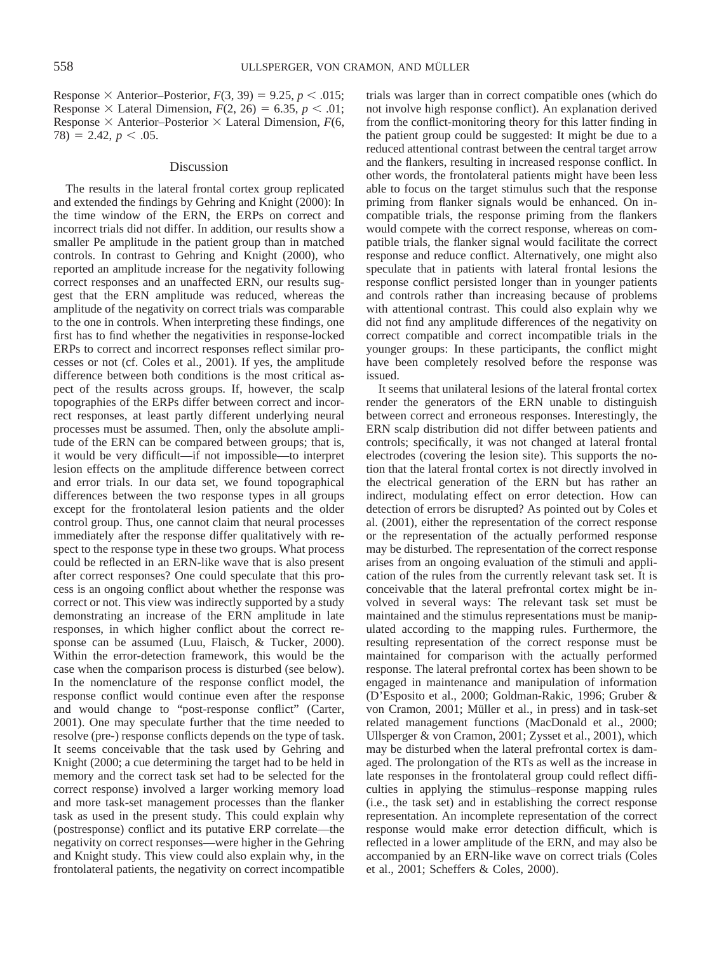Response  $\times$  Anterior–Posterior,  $F(3, 39) = 9.25$ ,  $p < .015$ ; Response  $\times$  Lateral Dimension,  $F(2, 26) = 6.35$ ,  $p < .01$ ; Response  $\times$  Anterior–Posterior  $\times$  Lateral Dimension,  $F(6, 6)$  $78) = 2.42, p < .05.$ 

## Discussion

The results in the lateral frontal cortex group replicated and extended the findings by Gehring and Knight (2000): In the time window of the ERN, the ERPs on correct and incorrect trials did not differ. In addition, our results show a smaller Pe amplitude in the patient group than in matched controls. In contrast to Gehring and Knight (2000), who reported an amplitude increase for the negativity following correct responses and an unaffected ERN, our results suggest that the ERN amplitude was reduced, whereas the amplitude of the negativity on correct trials was comparable to the one in controls. When interpreting these findings, one first has to find whether the negativities in response-locked ERPs to correct and incorrect responses reflect similar processes or not (cf. Coles et al., 2001). If yes, the amplitude difference between both conditions is the most critical aspect of the results across groups. If, however, the scalp topographies of the ERPs differ between correct and incorrect responses, at least partly different underlying neural processes must be assumed. Then, only the absolute amplitude of the ERN can be compared between groups; that is, it would be very difficult—if not impossible—to interpret lesion effects on the amplitude difference between correct and error trials. In our data set, we found topographical differences between the two response types in all groups except for the frontolateral lesion patients and the older control group. Thus, one cannot claim that neural processes immediately after the response differ qualitatively with respect to the response type in these two groups. What process could be reflected in an ERN-like wave that is also present after correct responses? One could speculate that this process is an ongoing conflict about whether the response was correct or not. This view was indirectly supported by a study demonstrating an increase of the ERN amplitude in late responses, in which higher conflict about the correct response can be assumed (Luu, Flaisch, & Tucker, 2000). Within the error-detection framework, this would be the case when the comparison process is disturbed (see below). In the nomenclature of the response conflict model, the response conflict would continue even after the response and would change to "post-response conflict" (Carter, 2001). One may speculate further that the time needed to resolve (pre-) response conflicts depends on the type of task. It seems conceivable that the task used by Gehring and Knight (2000; a cue determining the target had to be held in memory and the correct task set had to be selected for the correct response) involved a larger working memory load and more task-set management processes than the flanker task as used in the present study. This could explain why (postresponse) conflict and its putative ERP correlate—the negativity on correct responses—were higher in the Gehring and Knight study. This view could also explain why, in the frontolateral patients, the negativity on correct incompatible

trials was larger than in correct compatible ones (which do not involve high response conflict). An explanation derived from the conflict-monitoring theory for this latter finding in the patient group could be suggested: It might be due to a reduced attentional contrast between the central target arrow and the flankers, resulting in increased response conflict. In other words, the frontolateral patients might have been less able to focus on the target stimulus such that the response priming from flanker signals would be enhanced. On incompatible trials, the response priming from the flankers would compete with the correct response, whereas on compatible trials, the flanker signal would facilitate the correct response and reduce conflict. Alternatively, one might also speculate that in patients with lateral frontal lesions the response conflict persisted longer than in younger patients and controls rather than increasing because of problems with attentional contrast. This could also explain why we did not find any amplitude differences of the negativity on correct compatible and correct incompatible trials in the younger groups: In these participants, the conflict might have been completely resolved before the response was issued.

It seems that unilateral lesions of the lateral frontal cortex render the generators of the ERN unable to distinguish between correct and erroneous responses. Interestingly, the ERN scalp distribution did not differ between patients and controls; specifically, it was not changed at lateral frontal electrodes (covering the lesion site). This supports the notion that the lateral frontal cortex is not directly involved in the electrical generation of the ERN but has rather an indirect, modulating effect on error detection. How can detection of errors be disrupted? As pointed out by Coles et al. (2001), either the representation of the correct response or the representation of the actually performed response may be disturbed. The representation of the correct response arises from an ongoing evaluation of the stimuli and application of the rules from the currently relevant task set. It is conceivable that the lateral prefrontal cortex might be involved in several ways: The relevant task set must be maintained and the stimulus representations must be manipulated according to the mapping rules. Furthermore, the resulting representation of the correct response must be maintained for comparison with the actually performed response. The lateral prefrontal cortex has been shown to be engaged in maintenance and manipulation of information (D'Esposito et al., 2000; Goldman-Rakic, 1996; Gruber & von Cramon, 2001; Müller et al., in press) and in task-set related management functions (MacDonald et al., 2000; Ullsperger & von Cramon, 2001; Zysset et al., 2001), which may be disturbed when the lateral prefrontal cortex is damaged. The prolongation of the RTs as well as the increase in late responses in the frontolateral group could reflect difficulties in applying the stimulus–response mapping rules (i.e., the task set) and in establishing the correct response representation. An incomplete representation of the correct response would make error detection difficult, which is reflected in a lower amplitude of the ERN, and may also be accompanied by an ERN-like wave on correct trials (Coles et al., 2001; Scheffers & Coles, 2000).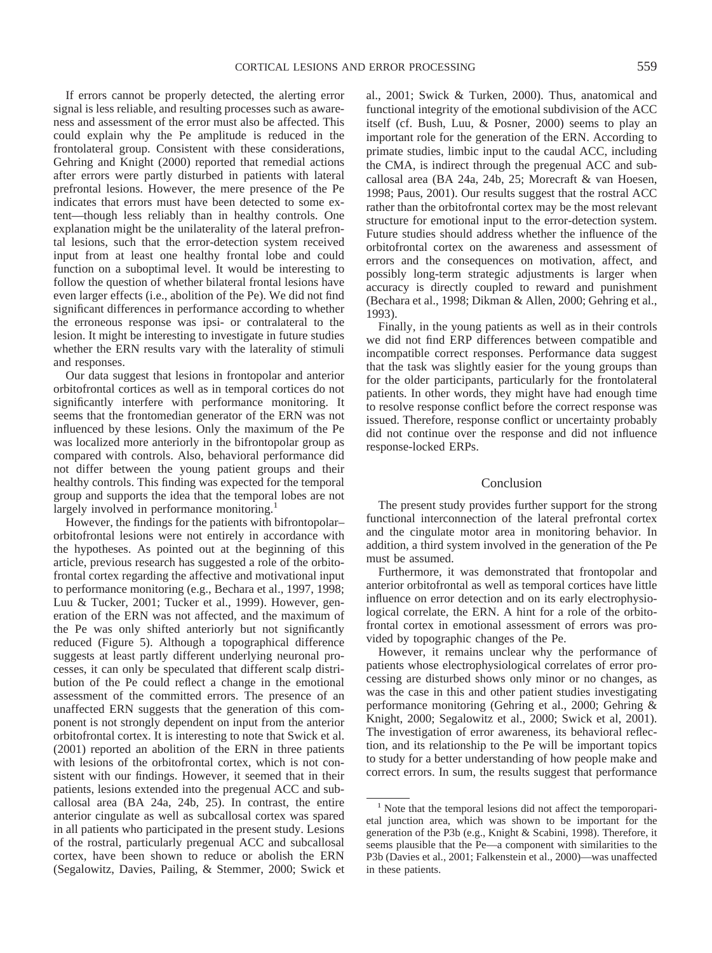If errors cannot be properly detected, the alerting error signal is less reliable, and resulting processes such as awareness and assessment of the error must also be affected. This could explain why the Pe amplitude is reduced in the frontolateral group. Consistent with these considerations, Gehring and Knight (2000) reported that remedial actions after errors were partly disturbed in patients with lateral prefrontal lesions. However, the mere presence of the Pe indicates that errors must have been detected to some extent—though less reliably than in healthy controls. One explanation might be the unilaterality of the lateral prefrontal lesions, such that the error-detection system received input from at least one healthy frontal lobe and could function on a suboptimal level. It would be interesting to follow the question of whether bilateral frontal lesions have even larger effects (i.e., abolition of the Pe). We did not find significant differences in performance according to whether the erroneous response was ipsi- or contralateral to the lesion. It might be interesting to investigate in future studies whether the ERN results vary with the laterality of stimuli and responses.

Our data suggest that lesions in frontopolar and anterior orbitofrontal cortices as well as in temporal cortices do not significantly interfere with performance monitoring. It seems that the frontomedian generator of the ERN was not influenced by these lesions. Only the maximum of the Pe was localized more anteriorly in the bifrontopolar group as compared with controls. Also, behavioral performance did not differ between the young patient groups and their healthy controls. This finding was expected for the temporal group and supports the idea that the temporal lobes are not largely involved in performance monitoring.<sup>1</sup>

However, the findings for the patients with bifrontopolar– orbitofrontal lesions were not entirely in accordance with the hypotheses. As pointed out at the beginning of this article, previous research has suggested a role of the orbitofrontal cortex regarding the affective and motivational input to performance monitoring (e.g., Bechara et al., 1997, 1998; Luu & Tucker, 2001; Tucker et al., 1999). However, generation of the ERN was not affected, and the maximum of the Pe was only shifted anteriorly but not significantly reduced (Figure 5). Although a topographical difference suggests at least partly different underlying neuronal processes, it can only be speculated that different scalp distribution of the Pe could reflect a change in the emotional assessment of the committed errors. The presence of an unaffected ERN suggests that the generation of this component is not strongly dependent on input from the anterior orbitofrontal cortex. It is interesting to note that Swick et al. (2001) reported an abolition of the ERN in three patients with lesions of the orbitofrontal cortex, which is not consistent with our findings. However, it seemed that in their patients, lesions extended into the pregenual ACC and subcallosal area (BA 24a, 24b, 25). In contrast, the entire anterior cingulate as well as subcallosal cortex was spared in all patients who participated in the present study. Lesions of the rostral, particularly pregenual ACC and subcallosal cortex, have been shown to reduce or abolish the ERN (Segalowitz, Davies, Pailing, & Stemmer, 2000; Swick et

al., 2001; Swick & Turken, 2000). Thus, anatomical and functional integrity of the emotional subdivision of the ACC itself (cf. Bush, Luu, & Posner, 2000) seems to play an important role for the generation of the ERN. According to primate studies, limbic input to the caudal ACC, including the CMA, is indirect through the pregenual ACC and subcallosal area (BA 24a, 24b, 25; Morecraft & van Hoesen, 1998; Paus, 2001). Our results suggest that the rostral ACC rather than the orbitofrontal cortex may be the most relevant structure for emotional input to the error-detection system. Future studies should address whether the influence of the orbitofrontal cortex on the awareness and assessment of errors and the consequences on motivation, affect, and possibly long-term strategic adjustments is larger when accuracy is directly coupled to reward and punishment (Bechara et al., 1998; Dikman & Allen, 2000; Gehring et al., 1993).

Finally, in the young patients as well as in their controls we did not find ERP differences between compatible and incompatible correct responses. Performance data suggest that the task was slightly easier for the young groups than for the older participants, particularly for the frontolateral patients. In other words, they might have had enough time to resolve response conflict before the correct response was issued. Therefore, response conflict or uncertainty probably did not continue over the response and did not influence response-locked ERPs.

# Conclusion

The present study provides further support for the strong functional interconnection of the lateral prefrontal cortex and the cingulate motor area in monitoring behavior. In addition, a third system involved in the generation of the Pe must be assumed.

Furthermore, it was demonstrated that frontopolar and anterior orbitofrontal as well as temporal cortices have little influence on error detection and on its early electrophysiological correlate, the ERN. A hint for a role of the orbitofrontal cortex in emotional assessment of errors was provided by topographic changes of the Pe.

However, it remains unclear why the performance of patients whose electrophysiological correlates of error processing are disturbed shows only minor or no changes, as was the case in this and other patient studies investigating performance monitoring (Gehring et al., 2000; Gehring & Knight, 2000; Segalowitz et al., 2000; Swick et al, 2001). The investigation of error awareness, its behavioral reflection, and its relationship to the Pe will be important topics to study for a better understanding of how people make and correct errors. In sum, the results suggest that performance

<sup>&</sup>lt;sup>1</sup> Note that the temporal lesions did not affect the temporoparietal junction area, which was shown to be important for the generation of the P3b (e.g., Knight & Scabini, 1998). Therefore, it seems plausible that the Pe—a component with similarities to the P3b (Davies et al., 2001; Falkenstein et al., 2000)—was unaffected in these patients.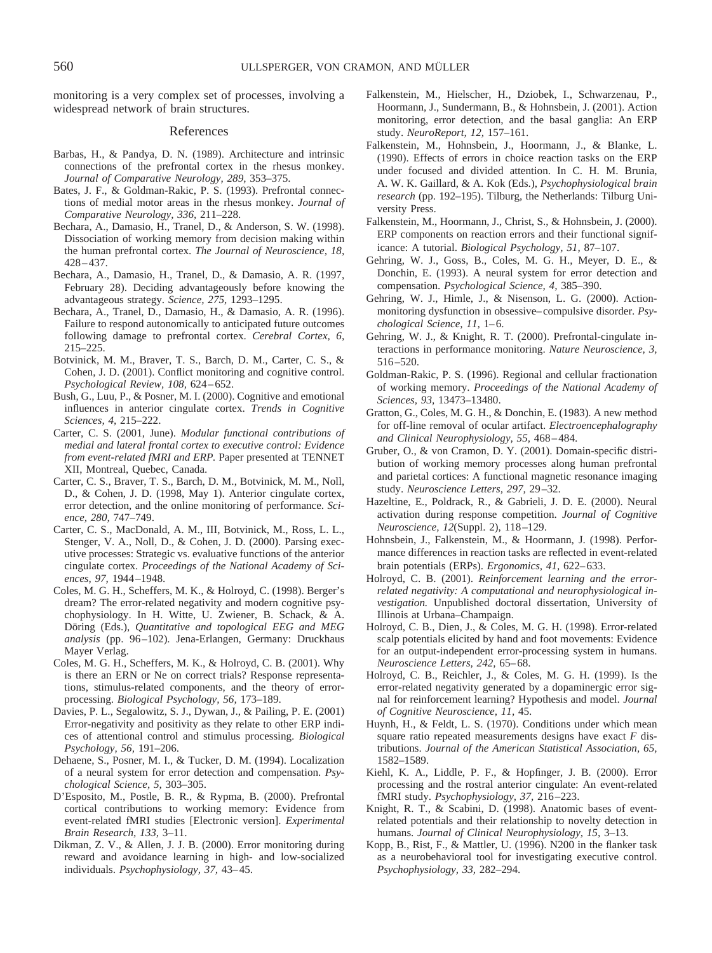monitoring is a very complex set of processes, involving a widespread network of brain structures.

# References

- Barbas, H., & Pandya, D. N. (1989). Architecture and intrinsic connections of the prefrontal cortex in the rhesus monkey. *Journal of Comparative Neurology, 289,* 353–375.
- Bates, J. F., & Goldman-Rakic, P. S. (1993). Prefrontal connections of medial motor areas in the rhesus monkey. *Journal of Comparative Neurology, 336,* 211–228.
- Bechara, A., Damasio, H., Tranel, D., & Anderson, S. W. (1998). Dissociation of working memory from decision making within the human prefrontal cortex. *The Journal of Neuroscience, 18,* 428–437.
- Bechara, A., Damasio, H., Tranel, D., & Damasio, A. R. (1997, February 28). Deciding advantageously before knowing the advantageous strategy. *Science, 275,* 1293–1295.
- Bechara, A., Tranel, D., Damasio, H., & Damasio, A. R. (1996). Failure to respond autonomically to anticipated future outcomes following damage to prefrontal cortex. *Cerebral Cortex, 6,* 215–225.
- Botvinick, M. M., Braver, T. S., Barch, D. M., Carter, C. S., & Cohen, J. D. (2001). Conflict monitoring and cognitive control. *Psychological Review, 108,* 624–652.
- Bush, G., Luu, P., & Posner, M. I. (2000). Cognitive and emotional influences in anterior cingulate cortex. *Trends in Cognitive Sciences, 4,* 215–222.
- Carter, C. S. (2001, June). *Modular functional contributions of medial and lateral frontal cortex to executive control: Evidence from event-related fMRI and ERP.* Paper presented at TENNET XII, Montreal, Quebec, Canada.
- Carter, C. S., Braver, T. S., Barch, D. M., Botvinick, M. M., Noll, D., & Cohen, J. D. (1998, May 1). Anterior cingulate cortex, error detection, and the online monitoring of performance. *Science, 280,* 747–749.
- Carter, C. S., MacDonald, A. M., III, Botvinick, M., Ross, L. L., Stenger, V. A., Noll, D., & Cohen, J. D. (2000). Parsing executive processes: Strategic vs. evaluative functions of the anterior cingulate cortex. *Proceedings of the National Academy of Sciences, 97,* 1944–1948.
- Coles, M. G. H., Scheffers, M. K., & Holroyd, C. (1998). Berger's dream? The error-related negativity and modern cognitive psychophysiology. In H. Witte, U. Zwiener, B. Schack, & A. Döring (Eds.), *Quantitative and topological EEG and MEG analysis* (pp. 96–102). Jena-Erlangen, Germany: Druckhaus Mayer Verlag.
- Coles, M. G. H., Scheffers, M. K., & Holroyd, C. B. (2001). Why is there an ERN or Ne on correct trials? Response representations, stimulus-related components, and the theory of errorprocessing. *Biological Psychology, 56,* 173–189.
- Davies, P. L., Segalowitz, S. J., Dywan, J., & Pailing, P. E. (2001) Error-negativity and positivity as they relate to other ERP indices of attentional control and stimulus processing. *Biological Psychology, 56,* 191–206.
- Dehaene, S., Posner, M. I., & Tucker, D. M. (1994). Localization of a neural system for error detection and compensation. *Psychological Science, 5,* 303–305.
- D'Esposito, M., Postle, B. R., & Rypma, B. (2000). Prefrontal cortical contributions to working memory: Evidence from event-related fMRI studies [Electronic version]. *Experimental Brain Research, 133,* 3–11.
- Dikman, Z. V., & Allen, J. J. B. (2000). Error monitoring during reward and avoidance learning in high- and low-socialized individuals. *Psychophysiology, 37,* 43–45.
- Falkenstein, M., Hielscher, H., Dziobek, I., Schwarzenau, P., Hoormann, J., Sundermann, B., & Hohnsbein, J. (2001). Action monitoring, error detection, and the basal ganglia: An ERP study. *NeuroReport, 12,* 157–161.
- Falkenstein, M., Hohnsbein, J., Hoormann, J., & Blanke, L. (1990). Effects of errors in choice reaction tasks on the ERP under focused and divided attention. In C. H. M. Brunia, A. W. K. Gaillard, & A. Kok (Eds.), *Psychophysiological brain research* (pp. 192–195). Tilburg, the Netherlands: Tilburg University Press.
- Falkenstein, M., Hoormann, J., Christ, S., & Hohnsbein, J. (2000). ERP components on reaction errors and their functional significance: A tutorial. *Biological Psychology, 51,* 87–107.
- Gehring, W. J., Goss, B., Coles, M. G. H., Meyer, D. E., & Donchin, E. (1993). A neural system for error detection and compensation. *Psychological Science, 4,* 385–390.
- Gehring, W. J., Himle, J., & Nisenson, L. G. (2000). Actionmonitoring dysfunction in obsessive–compulsive disorder. *Psychological Science, 11,* 1–6.
- Gehring, W. J., & Knight, R. T. (2000). Prefrontal-cingulate interactions in performance monitoring. *Nature Neuroscience, 3,* 516–520.
- Goldman-Rakic, P. S. (1996). Regional and cellular fractionation of working memory. *Proceedings of the National Academy of Sciences, 93,* 13473–13480.
- Gratton, G., Coles, M. G. H., & Donchin, E. (1983). A new method for off-line removal of ocular artifact. *Electroencephalography and Clinical Neurophysiology, 55,* 468–484.
- Gruber, O., & von Cramon, D. Y. (2001). Domain-specific distribution of working memory processes along human prefrontal and parietal cortices: A functional magnetic resonance imaging study. *Neuroscience Letters, 297,* 29–32.
- Hazeltine, E., Poldrack, R., & Gabrieli, J. D. E. (2000). Neural activation during response competition. *Journal of Cognitive Neuroscience, 12*(Suppl. 2), 118–129.
- Hohnsbein, J., Falkenstein, M., & Hoormann, J. (1998). Performance differences in reaction tasks are reflected in event-related brain potentials (ERPs). *Ergonomics, 41,* 622–633.
- Holroyd, C. B. (2001). *Reinforcement learning and the errorrelated negativity: A computational and neurophysiological investigation.* Unpublished doctoral dissertation, University of Illinois at Urbana–Champaign.
- Holroyd, C. B., Dien, J., & Coles, M. G. H. (1998). Error-related scalp potentials elicited by hand and foot movements: Evidence for an output-independent error-processing system in humans. *Neuroscience Letters, 242,* 65–68.
- Holroyd, C. B., Reichler, J., & Coles, M. G. H. (1999). Is the error-related negativity generated by a dopaminergic error signal for reinforcement learning? Hypothesis and model. *Journal of Cognitive Neuroscience, 11,* 45.
- Huynh, H., & Feldt, L. S. (1970). Conditions under which mean square ratio repeated measurements designs have exact *F* distributions. *Journal of the American Statistical Association, 65,* 1582–1589.
- Kiehl, K. A., Liddle, P. F., & Hopfinger, J. B. (2000). Error processing and the rostral anterior cingulate: An event-related fMRI study. *Psychophysiology, 37,* 216–223.
- Knight, R. T., & Scabini, D. (1998). Anatomic bases of eventrelated potentials and their relationship to novelty detection in humans. *Journal of Clinical Neurophysiology, 15,* 3–13.
- Kopp, B., Rist, F., & Mattler, U. (1996). N200 in the flanker task as a neurobehavioral tool for investigating executive control. *Psychophysiology, 33,* 282–294.